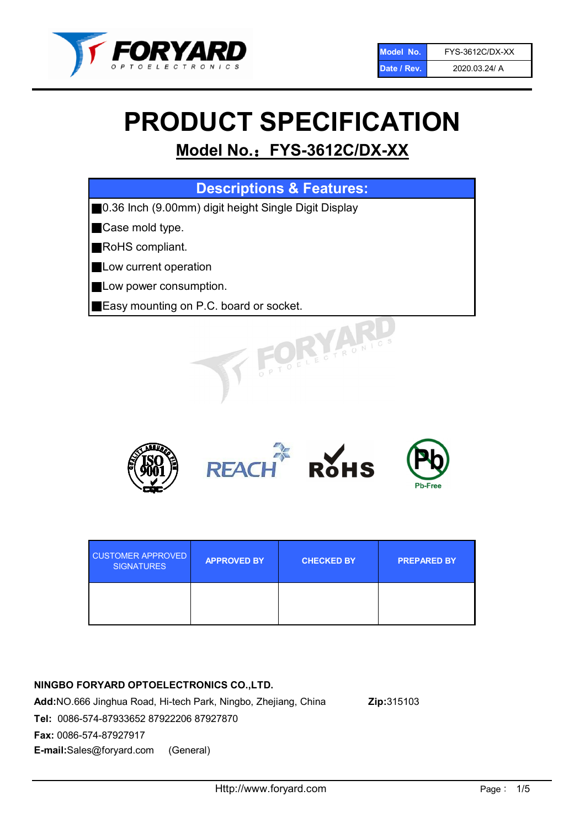

# PRODUCT SPECIFICATION

# Model No.: FYS-3612C/DX-XX

| <b>Descriptions &amp; Features:</b>                  |
|------------------------------------------------------|
| 0.36 Inch (9.00mm) digit height Single Digit Display |
| Case mold type.                                      |
| RoHS compliant.                                      |
| Low current operation                                |
| Low power consumption.                               |
| Easy mounting on P.C. board or socket.               |
| TOELECTRONICS                                        |



| <b>CUSTOMER APPROVED</b><br><b>SIGNATURES</b> | <b>APPROVED BY</b> | <b>CHECKED BY</b> | <b>PREPARED BY</b> |
|-----------------------------------------------|--------------------|-------------------|--------------------|
|                                               |                    |                   |                    |

### NINGBO FORYARD OPTOELECTRONICS CO.,LTD.

Add:NO.666 Jinghua Road, Hi-tech Park, Ningbo, Zhejiang, China Zip:315103 Tel: 0086-574-87933652 87922206 87927870 Fax: 0086-574-87927917 E-mail:Sales@foryard.com (General)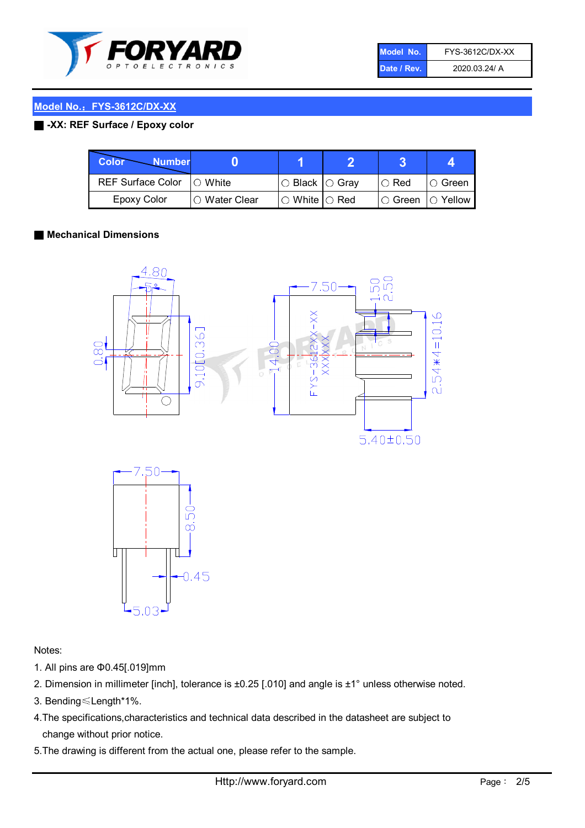

| Model No.   | FYS-3612C/DX-XX |
|-------------|-----------------|
| Date / Rev. | 2020.03.24/ A   |

#### ■ -XX: REF Surface / Epoxy color

| Color<br><b>Number</b>     |               |                           |               |                |
|----------------------------|---------------|---------------------------|---------------|----------------|
| REF Surface Color  ○ White |               | ○ Black  ○ Gray           | $\circ$ Red   | ∣O Green       |
| <b>Epoxy Color</b>         | ○ Water Clear | $\circ$ White $\circ$ Red | $\circ$ Green | $\circ$ Yellow |

#### ■ Mechanical Dimensions





Notes:

- 1. All pins are Φ0.45[.019]mm
- 2. Dimension in millimeter [inch], tolerance is ±0.25 [.010] and angle is ±1° unless otherwise noted.
- 3. Bending≤Length\*1%.
- 4.The specifications,characteristics and technical data described in the datasheet are subject to change without prior notice.
- 5.The drawing is different from the actual one, please refer to the sample.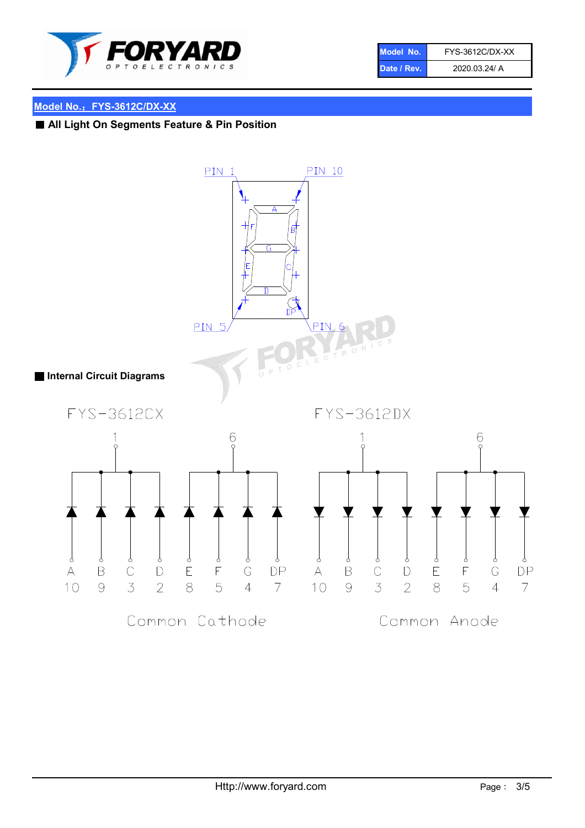

| Model No.   | FYS-3612C/DX-XX |
|-------------|-----------------|
| Date / Rev. | 2020.03.24/ A   |

# ■ All Light On Segments Feature & Pin Position

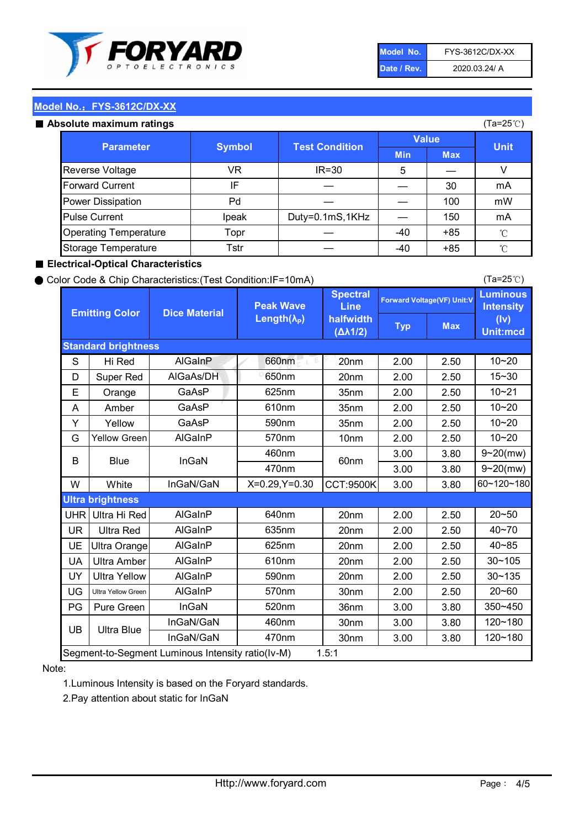

| Model No.   | FYS-3612C/DX-XX |
|-------------|-----------------|
| Date / Rev. | 2020.03.24/ A   |

#### Absolute maximum

| ISUIULU IIIAAIIIIUIIII TALIIIYS |               |                       |              | (⊺a−∠J ∪ <i>)</i> |              |
|---------------------------------|---------------|-----------------------|--------------|-------------------|--------------|
| <b>Parameter</b>                | <b>Symbol</b> | <b>Test Condition</b> | <b>Value</b> |                   | <b>Unit</b>  |
|                                 |               |                       | <b>Min</b>   | <b>Max</b>        |              |
| Reverse Voltage                 | VR            | $IR = 30$             | 5            |                   |              |
| <b>Forward Current</b>          | ΙF            |                       |              | 30                | mA           |
| Power Dissipation               | Pd            |                       |              | 100               | mW           |
| <b>Pulse Current</b>            | Ipeak         | Duty=0.1mS,1KHz       |              | 150               | mA           |
| <b>Operating Temperature</b>    | Topr          |                       | $-40$        | $+85$             | $^{\circ}$ C |
| Storage Temperature             | Tstr          |                       | $-40$        | $+85$             | °C           |

#### ■ Electrical-Optical Characteristics

#### ● Color Code & Chip Characteristics:(Test Condition:IF=10mA)

Typ Max S | Hi $\textsf{Red}$  | AlGaInP | 660nm LE 20nm | 2.00 | 2.50 D | Super Red | AIGaAs/DH | 650nm | 20nm | 2.00 | 2.50 E | Orange | GaAsP | 625nm | 35nm | 2.00 | 2.50 A | Amber | GaAsP | 610nm | 35nm | 2.00 | 2.50 Y | Yellow | GaAsP | 590nm | 35nm | 2.00 | 2.50 G Yellow Green AIGaInP | 570nm | 10nm | 2.00 | 2.50 3.00 3.80 3.00 3.80 W | White | InGaN/GaN | X=0.29,Y=0.30 |CCT:9500K| 3.00 | 3.80 UHR Ultra Hi Red  $\vert$  AIGaInP  $\vert$  640nm  $\vert$  20nm  $\vert$  2.00  $\vert$  2.50 UR | Ultra Red | AlGaInP | 635nm | 20nm | 2.00 | 2.50 UE Ultra Orange | AIGaInP | 625nm | 20nm | 2.00 | 2.50 UA Ultra Amber | AIGaInP | 610nm | 20nm | 2.00 | 2.50  $UV$  Ultra Yellow  $\vert$  AlGaInP  $\vert$  590nm  $\vert$  20nm  $\vert$  2.00  $\vert$  2.50  $\text{UG}$  Ultra Yellow Green | AIGaInP | 570nm | 30nm | 2.00 | 2.50 PG Pure Green | InGaN | 520nm | 36nm | 3.00 | 3.80 30nm 3.00 3.80 30nm 3.00 3.80 10~20 Standard brightness Forward Voltage(VF) Unit:V 15~30 10~20 10~20 625nm GaAsP 590nm **Emitting Color Dice Material** 10~21 610nm Luminous **Intensity** (Iv) Unit:mcd AlGainP 660nm GaAsP GaAsP AlGaAs/DH **Spectral** Line halfwidth (∆λ1/2) Peak Wave Length $(\lambda_{\rm P})$ UB 460nm 635nm AlGaInP AlGaInP AlGaInP InGaN/GaN AlGaInP | 570nm | 10nm | 2.00 | 2.50 | 10~20 30~105 30~135 460nm 520nm Ultra brightness **AlGaInP** AlGaInP 60nm AlGaInP 640nm Segment-to-Segment Luminous Intensity ratio(Iv-M) 1.5:1 610nm 9~20(mw) 350~450 470nm 120~180 120~180 Ultra Blue InGaN/GaN 9~20(mw) 20~50 570nm | 30nm | 2.00 | 2.50 | 20~60 470nm 590nm InGaN/GaN B Blue I InGaN 40~85 60~120~180 40~70

#### Note:

1.Luminous Intensity is based on the Foryard standards.

2.Pay attention about static for InGaN

(Ta=25℃)

(Ta=25℃)